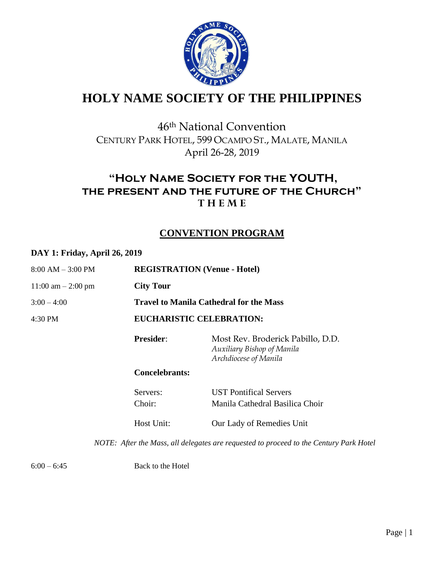

# **HOLY NAME SOCIETY OF THE PHILIPPINES**

## 46th National Convention CENTURY PARK HOTEL, 599 OCAMPO ST., MALATE, MANILA April 26-28, 2019

### **"Holy Name Society for the YOUTH, the present and the future of the Church" T H E M E**

### **CONVENTION PROGRAM**

#### **DAY 1: Friday, April 26, 2019**

| $8:00 AM - 3:00 PM$   | <b>REGISTRATION (Venue - Hotel)</b>            |                                                                                          |  |
|-----------------------|------------------------------------------------|------------------------------------------------------------------------------------------|--|
| $11:00$ am $-2:00$ pm | <b>City Tour</b>                               |                                                                                          |  |
| $3:00 - 4:00$         | <b>Travel to Manila Cathedral for the Mass</b> |                                                                                          |  |
| 4:30 PM               | <b>EUCHARISTIC CELEBRATION:</b>                |                                                                                          |  |
|                       | <b>Presider:</b>                               | Most Rev. Broderick Pabillo, D.D.<br>Auxiliary Bishop of Manila<br>Archdiocese of Manila |  |
|                       | <b>Concelebrants:</b>                          |                                                                                          |  |
|                       | Servers:<br>Choir:                             | <b>UST Pontifical Servers</b><br>Manila Cathedral Basilica Choir                         |  |
|                       | Host Unit:                                     | Our Lady of Remedies Unit                                                                |  |
|                       |                                                | NOTE: After the Mass, all delegates are requested to proceed to the Century Park Hotel   |  |
|                       |                                                |                                                                                          |  |

 $6:00 - 6:45$  Back to the Hotel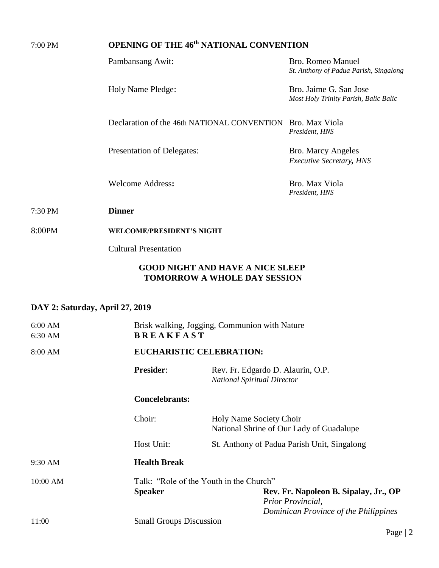| 7:00 PM                         | <b>OPENING OF THE 46th NATIONAL CONVENTION</b>             |                                                                                |                                                                    |  |
|---------------------------------|------------------------------------------------------------|--------------------------------------------------------------------------------|--------------------------------------------------------------------|--|
|                                 | Pambansang Awit:                                           |                                                                                | <b>Bro. Romeo Manuel</b><br>St. Anthony of Padua Parish, Singalong |  |
|                                 | Holy Name Pledge:                                          |                                                                                | Bro. Jaime G. San Jose<br>Most Holy Trinity Parish, Balic Balic    |  |
|                                 | Declaration of the 46th NATIONAL CONVENTION Bro. Max Viola |                                                                                | President, HNS                                                     |  |
|                                 | Presentation of Delegates:                                 |                                                                                | Bro. Marcy Angeles<br><b>Executive Secretary, HNS</b>              |  |
|                                 | <b>Welcome Address:</b>                                    |                                                                                | Bro. Max Viola<br>President, HNS                                   |  |
| 7:30 PM                         | <b>Dinner</b>                                              |                                                                                |                                                                    |  |
| 8:00PM                          | <b>WELCOME/PRESIDENT'S NIGHT</b>                           |                                                                                |                                                                    |  |
|                                 | <b>Cultural Presentation</b>                               |                                                                                |                                                                    |  |
|                                 |                                                            | <b>GOOD NIGHT AND HAVE A NICE SLEEP</b><br><b>TOMORROW A WHOLE DAY SESSION</b> |                                                                    |  |
| DAY 2: Saturday, April 27, 2019 |                                                            |                                                                                |                                                                    |  |
| 6:00 AM<br>6:30 AM              |                                                            | Brisk walking, Jogging, Communion with Nature<br><b>BREAKFAST</b>              |                                                                    |  |
| 8:00 AM                         | <b>EUCHARISTIC CELEBRATION:</b>                            |                                                                                |                                                                    |  |
|                                 | Presider:                                                  | Rev. Fr. Edgardo D. Alaurin, O.P.<br><b>National Spiritual Director</b>        |                                                                    |  |
|                                 | <b>Concelebrants:</b>                                      |                                                                                |                                                                    |  |
|                                 | Choir:                                                     | Holy Name Society Choir                                                        | National Shrine of Our Lady of Guadalupe                           |  |
|                                 | Host Unit:                                                 |                                                                                | St. Anthony of Padua Parish Unit, Singalong                        |  |
| 9:30 AM                         | <b>Health Break</b>                                        |                                                                                |                                                                    |  |
| 10:00 AM                        | <b>Speaker</b>                                             | Talk: "Role of the Youth in the Church"                                        | Rev. Fr. Napoleon B. Sipalay, Jr., OP                              |  |

11:00 Small Groups Discussion

*Prior Provincial,* 

*Dominican Province of the Philippines*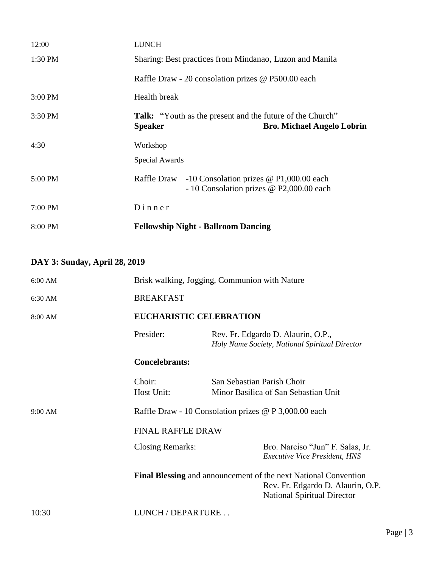| 12:00     | <b>LUNCH</b>                                                                                                            |  |  |
|-----------|-------------------------------------------------------------------------------------------------------------------------|--|--|
| $1:30$ PM | Sharing: Best practices from Mindanao, Luzon and Manila                                                                 |  |  |
|           | Raffle Draw - 20 consolation prizes @ P500.00 each                                                                      |  |  |
| $3:00$ PM | Health break                                                                                                            |  |  |
| $3:30$ PM | <b>Talk:</b> "Youth as the present and the future of the Church"<br><b>Speaker</b><br><b>Bro. Michael Angelo Lobrin</b> |  |  |
| 4:30      | Workshop                                                                                                                |  |  |
|           | Special Awards                                                                                                          |  |  |
| 5:00 PM   | Raffle Draw<br>-10 Consolation prizes $\omega$ P1,000.00 each<br>- 10 Consolation prizes @ P2,000.00 each               |  |  |
| 7:00 PM   | $D$ inner                                                                                                               |  |  |
| 8:00 PM   | <b>Fellowship Night - Ballroom Dancing</b>                                                                              |  |  |

## **DAY 3: Sunday, April 28, 2019**

| $6:00$ AM |                         | Brisk walking, Jogging, Communion with Nature                                                                                                     |  |  |  |
|-----------|-------------------------|---------------------------------------------------------------------------------------------------------------------------------------------------|--|--|--|
| 6:30 AM   | <b>BREAKFAST</b>        |                                                                                                                                                   |  |  |  |
| 8:00 AM   |                         | <b>EUCHARISTIC CELEBRATION</b>                                                                                                                    |  |  |  |
|           | Presider:               | Rev. Fr. Edgardo D. Alaurin, O.P.,<br>Holy Name Society, National Spiritual Director                                                              |  |  |  |
|           |                         | <b>Concelebrants:</b>                                                                                                                             |  |  |  |
|           | Choir:<br>Host Unit:    | San Sebastian Parish Choir<br>Minor Basilica of San Sebastian Unit                                                                                |  |  |  |
| 9:00 AM   |                         | Raffle Draw - 10 Consolation prizes @ P 3,000.00 each                                                                                             |  |  |  |
|           |                         | <b>FINAL RAFFLE DRAW</b>                                                                                                                          |  |  |  |
|           | <b>Closing Remarks:</b> | Bro. Narciso "Jun" F. Salas, Jr.<br><b>Executive Vice President, HNS</b>                                                                          |  |  |  |
|           |                         | <b>Final Blessing</b> and announcement of the next National Convention<br>Rev. Fr. Edgardo D. Alaurin, O.P.<br><b>National Spiritual Director</b> |  |  |  |
| 10:30     | LUNCH / DEPARTURE       |                                                                                                                                                   |  |  |  |